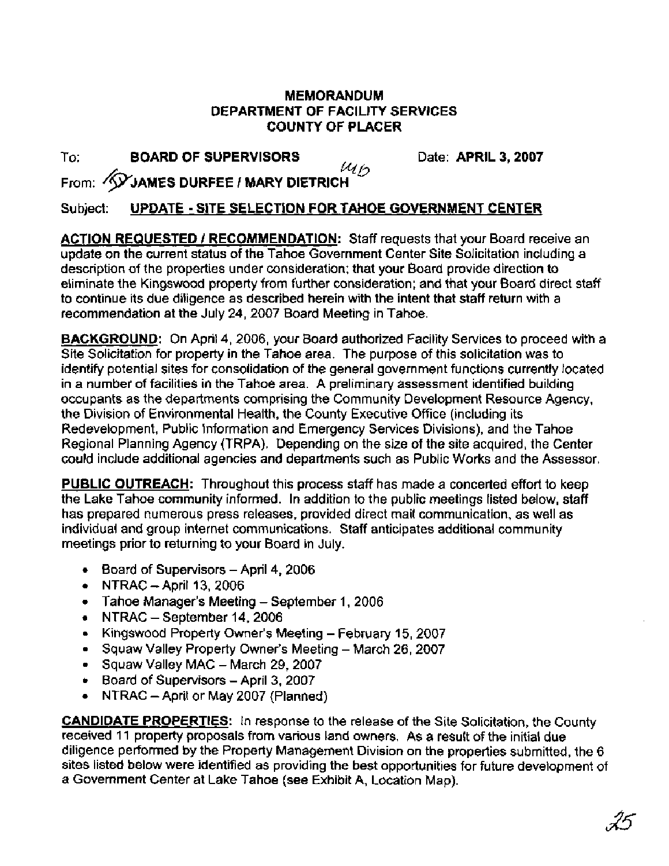## **MEMORANDUM DEPARTMENT OF FACILITY SERVICES COUNTY OF PLACER**

To: **BOARD OF SUPERVISORS** Date: **APRIL 3, 2007**<br>  $\mathcal{U}_b$ 

From: **~P;IAMES DURFEE** / **MARY DIETRICH** 

## Subject: **UPDATE** - **SITE SELECTION FOR TAHOE GOVERNMENT CENTER**

**ACTION REQUESTED / RECOMMENDATION:** Staff requests that your Board receive an update on the current status of the Tahoe Government Center Site Solicitation including a description of the properties under consideration; that your Board provide direction to eliminate the Kingswood property from further consideration; and that your Board direct staff to continue its due diligence as described herein with the intent that staff return with a recommendation at the July 24, 2007 Board Meeting in Tahoe.

**BACKGROUND:** On April 4, 2006, your Board authorized Facility Services to proceed with a Site Solicitation for property in the Tahoe area. The purpose of this solicitation was to identify potential sites for consolidation of the general government functions currently located in a number of facilities in the Tahoe area. A preliminary assessment identified building occupants as the departments comprising the Community Development Resource Agency, the Division of Environmental Health, the County Executive Office (including its Redevelopment, Public Information and Emergency Services Divisions), and the Tahoe Regional Planning Agency (TRPA). Depending on the size of the site acquired, the Center could include additional agencies and departments such as Public Works and the Assessor.

**PUBLIC OUTREACH:** Throughout this process staff has made a concerted effort to keep the Lake Tahoe community informed. In addition to the public meetings listed below, staff has prepared numerous press releases, provided direct mail communication, as well as individual and group internet communications. Staff anticipates additional community meetings prior to returning to your Board in July.

- Board of Supervisors April **4,** <sup>2006</sup>
- $\bullet$  NTRAC April 13, 2006
- Tahoe Manager's Meeting September 1, 2006
- $\bullet$  NTRAC September 14, 2006
- Kingswood Property Owner's Meeting February 15, 2007
- Squaw Valley Property Owner's Meeting March 26, 2007
- Squaw Valley MAC March 29, 2007
- Board of Supervisors April 3, 2007
- NTRAC April or May 2007 (Planned)  $\bullet$

**CANDIDATE PROPERTIES:** In response to the release of the Site Solicitation, the County received 11 property proposals from various land owners. As a result of the initial due diligence performed by the Property Management Division on the properties submitted, the 6 sites listed below were identified as providing the best opportunities for future development of a Government Center at Lake Tahoe (see Exhibit A, Location Map).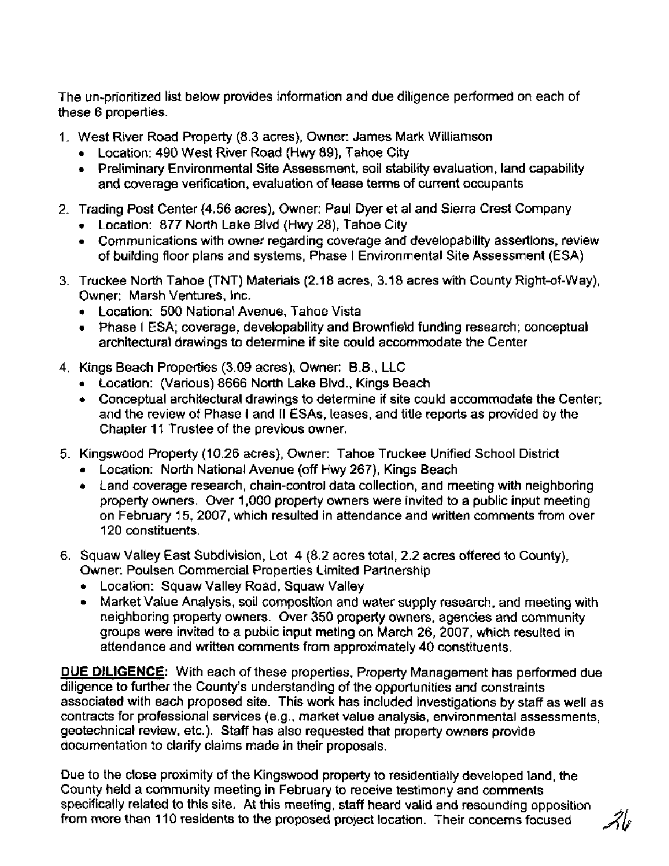The un-prioritized list below provides information and due diligence performed on each of these 6 properties.

- I. West River Road Property (8.3 acres), Owner: James Mark Williamson
	- Location: 490 West River Road (Hwy 89), Tahoe City
	- Preliminary Environmental Site Assessment, soil stability evaluation, land capability and coverage verification, evaluation of lease terms of current occupants
- 2. Trading Post Center (4.56 acres), Owner: Paul Dyer et al and Sierra Crest Company
	- Location: 877 North Lake Blvd (Hwy 28), Tahoe City
	- Communications with owner regarding coverage and developability assertions, review of building floor plans and systems, Phase I Environmental Site Assessment (ESA)
- 3. Truckee North Tahoe (TNT) Materials (2.18 acres, 3.18 acres with County Right-of-way), Owner: Marsh Ventures, Inc.
	- Location: 500 National Avenue, Tahoe Vista
	- Phase I ESA; coverage, developability and Brownfield funding research; conceptual architectural drawings to determine if site could accommodate the Center
- **4.** Kings Beach Properties (3.09 acres), Owner: B.B., LLC
	- Location: (Various) 8666 North Lake Blvd., Kings Beach
	- Conceptual architectural drawings to determine if site could accommodate the Center; and the review of Phase I and II ESAs, leases, and title reports as provided by the Chapter 11 Trustee of the previous owner.
- 5. Kingswood Property (10.26 acres), Owner: Tahoe Truckee Unified School District
	- Location: North National Avenue (off Hwy 267), Kings Beach
	- Land coverage research, chain-control data collection, and meeting with neighboring property owners. Over 1,000 property owners were invited to a public input meeting on February 15, 2007, which resulted in attendance and written comments from over 120 constituents.
- 6. Squaw Valley East Subdivision, Lot 4 (8.2 acres total, 2.2 acres offered to County), Owner: Poulsen Commercial Properties Limited Partnership
	- Location: Squaw Valley Road, Squaw Valley
	- Market Value Analysis, soil composition and water supply research, and meeting with neighboring property owners. Over 350 property owners, agencies and community groups were invited to a public input meting on March 26, 2007, which resulted in attendance and written comments from approximately 40 constituents.

DUE **DILIGENCE:** With each of these properties, Property Management has performed due diligence to further the County's understanding of the opportunities and constraints associated with each proposed site. This work has included investigations by staff as well as contracts for professional services (e.g., market value analysis, environmental assessments, geotechnical review, etc.). Staff has also requested that property owners provide documentation to clarify claims made in their proposals.

Due to the close proximity of the Kingswood property to residentially developed land, the County held a community meeting in February to receive testimony **and** comments specifically related to this site. At this meeting, staff heard valid and resounding opposition from more than 110 residents to the proposed project location. Their concerns focused

واجمه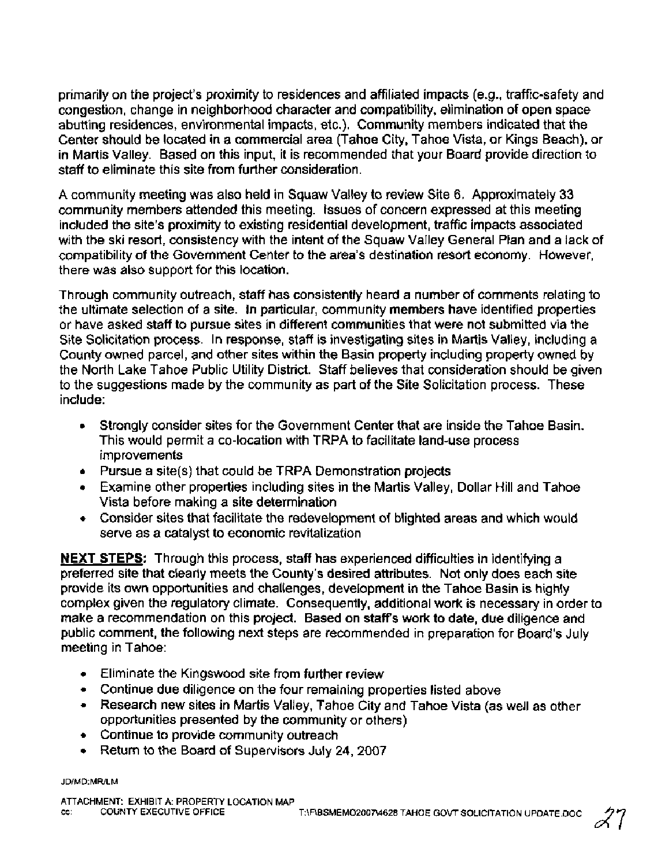primarily on the project's proximity to residences and affiliated impacts (e.g., traffic-safety and congestion, change in neighborhood character and compatibility, elimination of open space abutting residences, environmental impacts, etc.). Community members indicated that the Center should be located in a commercial area (Tahoe City, Tahoe Vista, or Kings Beach), or in Martis Valley. Based on this input, it is recommended that your Board provide direction to staff to eliminate this site from further consideration.

A community meeting was also held in Squaw Valley to review Site 6. Approximately 33 community members attended this meeting. Issues of concern expressed at this meeting included the site's proximity to existing residential development, traffic impacts associated with the ski resort, consistency with the intent of the Squaw Valley General Plan and a lack of compatibility of the Government Center to the area's destination resort economy. However, there was also support for this location.

Through community outreach, staff has consistently heard a number of comments relating to the ultimate selection of a site. In particular, community members have identified properties or have asked staff to pursue sites in different communities that were not submitted via the Site Solicitation process. In response, staff is investigating sites in Martis Valley, including a County owned parcel, and other sites within the Basin property including property owned by the North Lake Tahoe Public Utility District. Staff believes that consideration should be given to the suggestions made by the community as part of the Site Solicitation process. These include:

- Strongly consider sites for the Government Center that are inside the Tahoe Basin.  $\bullet$ This would permit a co-location with TRPA to facilitate land-use process improvements
- Pursue a site(s) that could be TRPA Demonstration projects
- Examine other properties including sites in the Martis Valley, Dollar Hill and Tahoe Vista before making a site determination
- Consider sites that facilitate the redevelopment of blighted areas and which would serve as a catalyst to economic revitalization

**NEXT STEPS:** Through this process, staff has experienced difficulties in identifying a preferred site that clearly meets the County's desired attributes. Not only does each site provide its own opportunities and challenges, development in the Tahoe Basin is highly complex given the regulatory climate. Consequently, additional work is necessary in order to make a recommendation on this project. Based on staffs work to date, due diligence and public comment, the following next steps are recommended in preparation for Board's July meeting in Tahoe:

- Eliminate the Kingswood site from further review
- Continue due diligence on the four remaining properties listed above
- Research new sites in Martis Valley, Tahoe City and Tahoe Vista (as well as other opportunities presented by the community or others)
- Continue to provide community outreach
- Return to the Board of Supervisors July 24, 2007

JD/MD:MR/LM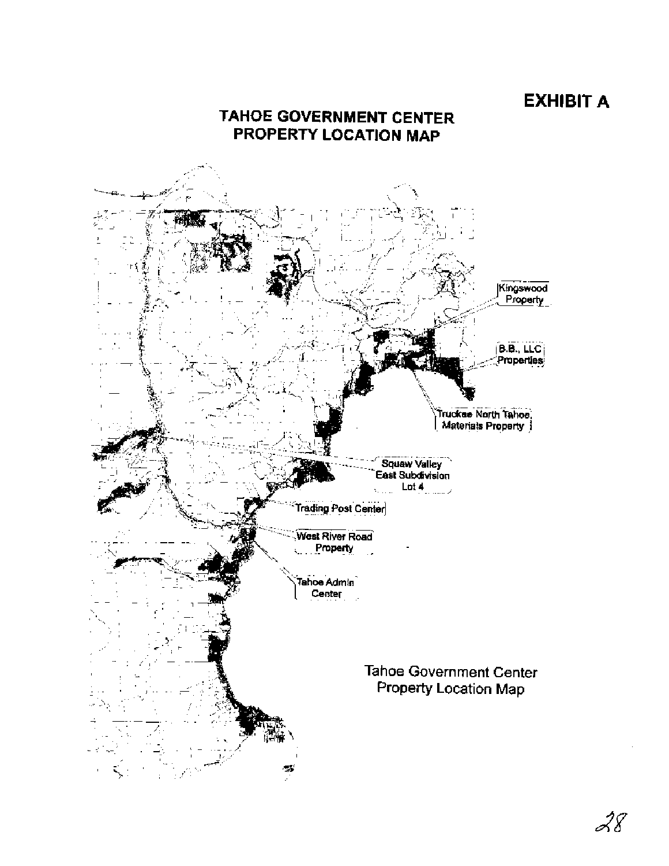## **EXHIBIT A**



28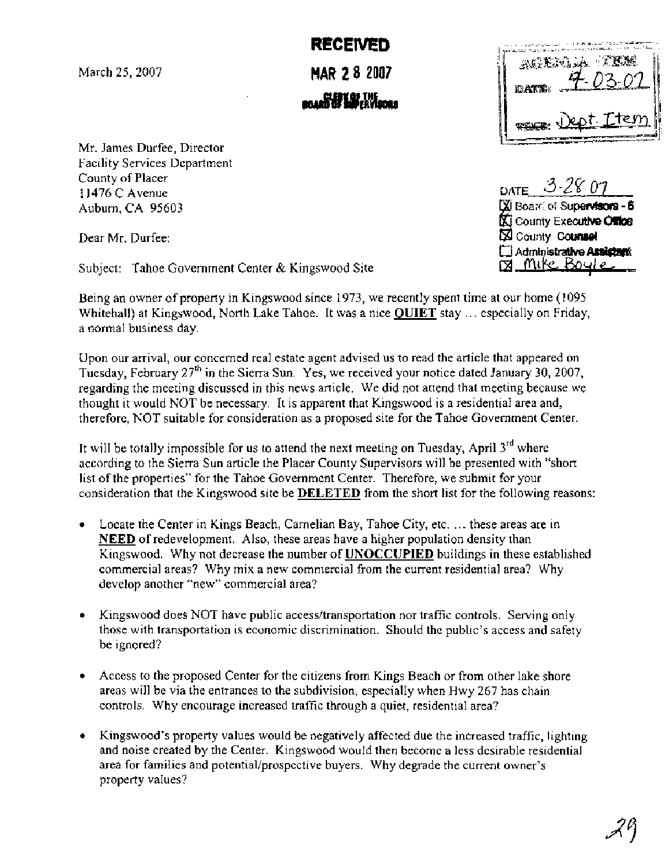March 25,2007

**MAR 2 8 2007 ltaddwww.com** 

**RECEIVED** 

Mr. James Durfee, Director Facility Services Department County of Placer 1 1476 C Avenue Auburn, CA 95603

Dear Mr. Durfee:

Subject: Tahoe Government Center & Kingswood Site

| AGERIA TEM<br>03-07<br>id <b>ate</b> : |
|----------------------------------------|
| Dept. Ttem<br><b>THANK!</b>            |

DATE 3-28.07 XI Board of Supervisors - 5 **KI** County Executive Office X County Counsel Administrative Assistant <u>pa Mite Boule</u>

Being an owner of property in Kingswood since 1973, we recently spent time at our home (1095 Whitehall) at Kingswood, North Lake Tahoe. It was a nice **QUIET** stay . . . especially on Friday, a normal business day.

Upon our arrival, our concerned real estate agent advised us to read the article that appeared on Tuesday, February  $27<sup>th</sup>$  in the Sierra Sun. Yes, we received your notice dated January 30, 2007, regarding the meeting discussed in this news article. We did not attend that meeting because we thought it would NOT be necessary. It is apparent that Kingswood is a residential area and, therefore, NOT suitable for consideration as a proposed site for the Tahoe Government Center.

It will be totally impossible for us to attend the next meeting on Tuesday, April  $3^{rd}$  where according to the Sierra Sun article the Placer County Supervisors will be presented with "short list of the properties" for the Tahoe Government Center. Therefore, we submit for your consideration that the Kingswood site be **DELETED** from the short list for the following reasons:

- $\bullet$  Locate the Center in Kings Beach, Carnelian Bay, Tahoe City, etc. ... these areas are in **NEED** of redevelopment. Also, these areas have a higher population density than Kingswood. Why not decrease the number of **UNOCCUPIED** buildings in these established commercial areas? Why mix a new commercial from the current residential area? Why develop another "new" commercial area?
- Kingswood does NOT have public access/transportation nor traffic controls. Serving only those with transportation is economic discrimination. Should the public's access and safety be ignored?
- Access to the proposed Center for the citizens from Kings Beach or from other lake shore areas will be via the entrances to the subdivision, especially when Hwy 267 has chain controls. Why encourage increased traffic through a quiet, residential area?
- Kingswood's property values would be negatively affected due the increased traffic, lighting and noise created by the Center. Kingswood would then become a less desirable residential area for families and potential/prospective buyers. Why degrade the current owner's property values?